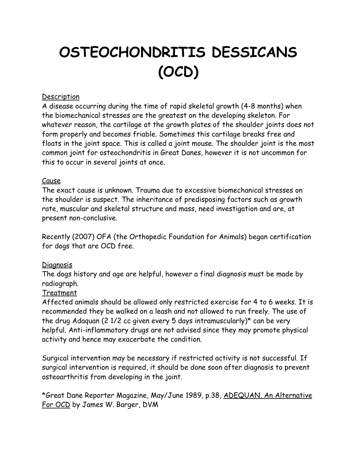# **OSTEOCHONDRITIS DESSICANS (OCD)**

#### **Description**

A disease occurring during the time of rapid skeletal growth (4-8 months) when the biomechanical stresses are the greatest on the developing skeleton. For whatever reason, the cartilage at the growth plates of the shoulder joints does not form properly and becomes friable. Sometimes this cartilage breaks free and floats in the joint space. This is called a joint mouse. The shoulder joint is the most common joint for osteochondritis in Great Danes, however it is not uncommon for this to occur in several joints at once.

### Cause

The exact cause is unknown. Trauma due to excessive biomechanical stresses on the shoulder is suspect. The inheritance of predisposing factors such as growth rate, muscular and skeletal structure and mass, need investigation and are, at present non-conclusive.

Recently (2007) OFA (the Orthopedic Foundation for Animals) began certification for dogs that are OCD free.

## Diagnosis

The dogs history and age are helpful, however a final diagnosis must be made by radiograph.

## Treatment

Affected animals should be allowed only restricted exercise for 4 to 6 weeks. It is recommended they be walked on a leash and not allowed to run freely. The use of the drug Adaquan (2 1/2 cc given every 5 days intramuscularly)\* can be very helpful. Anti-inflammatory drugs are not advised since they may promote physical activity and hence may exacerbate the condition.

Surgical intervention may be necessary if restricted activity is not successful. If surgical intervention is required, it should be done soon after diagnosis to prevent osteoarthritis from developing in the joint.

\*Great Dane Reporter Magazine, May/June 1989, p.38, ADEQUAN, An Alternative For OCD by James W. Barger, DVM